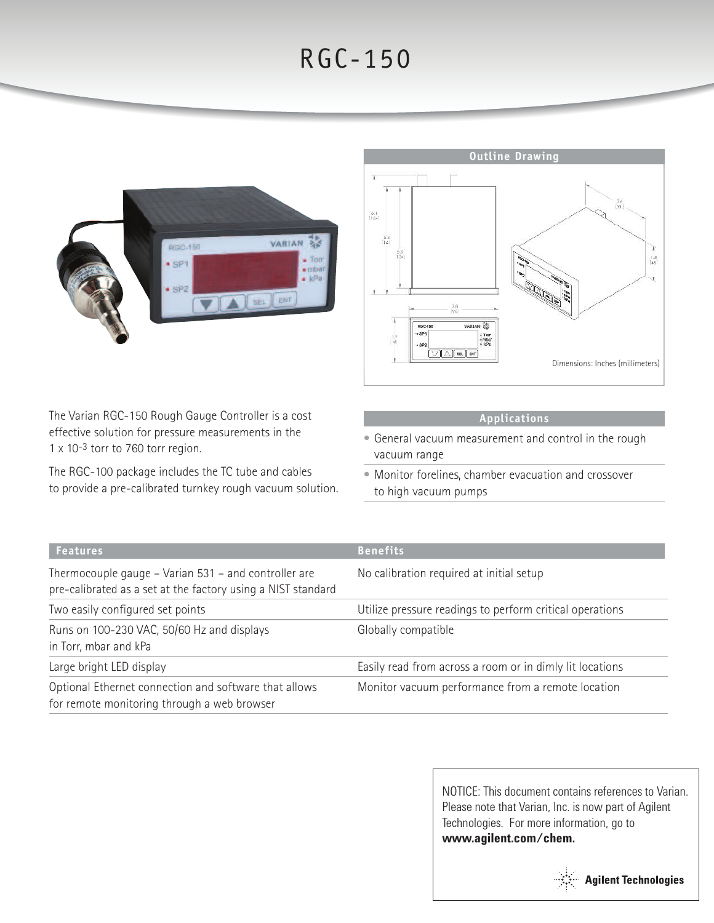## RGC-150





The Varian RGC-150 Rough Gauge Controller is a cost effective solution for pressure measurements in the 1 x 10-3 torr to 760 torr region.

The RGC-100 package includes the TC tube and cables to provide a pre-calibrated turnkey rough vacuum solution.

## **Applications**

- General vacuum measurement and control in the rough vacuum range
- Monitor forelines, chamber evacuation and crossover to high vacuum pumps

| <b>Features</b>                                                                                                      | <b>Benefits</b>                                          |  |
|----------------------------------------------------------------------------------------------------------------------|----------------------------------------------------------|--|
| Thermocouple gauge – Varian 531 – and controller are<br>pre-calibrated as a set at the factory using a NIST standard | No calibration required at initial setup                 |  |
| Two easily configured set points                                                                                     | Utilize pressure readings to perform critical operations |  |
| Runs on 100-230 VAC, 50/60 Hz and displays<br>in Torr, mbar and kPa                                                  | Globally compatible                                      |  |
| Large bright LED display                                                                                             | Easily read from across a room or in dimly lit locations |  |
| Optional Ethernet connection and software that allows<br>for remote monitoring through a web browser                 | Monitor vacuum performance from a remote location        |  |

NOTICE: This document contains references to Varian. Please note that Varian, Inc. is now part of Agilent Technologies. For more information, go to **www.agilent.com/chem.**